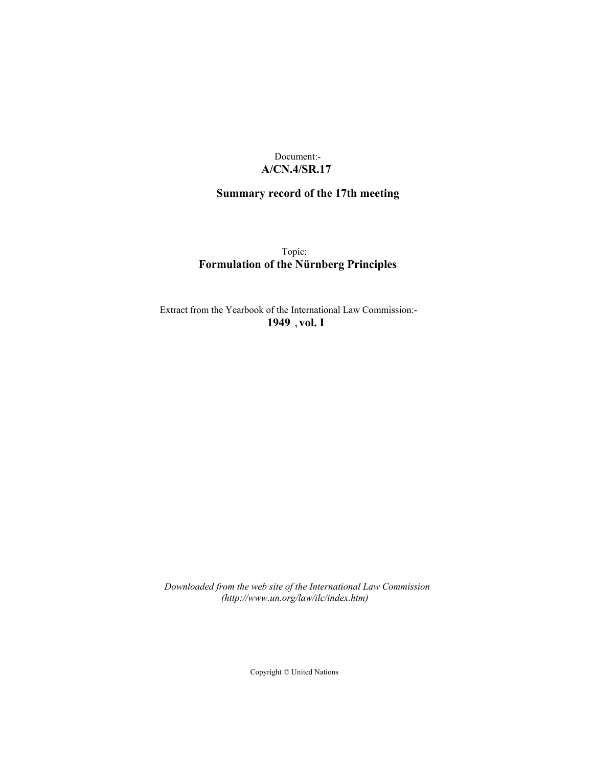# Document:- **A/CN.4/SR.17**

# **Summary record of the 17th meeting**

Topic: **Formulation of the Nürnberg Principles**

Extract from the Yearbook of the International Law Commission:- **1949** ,**vol. I**

*Downloaded from the web site of the International Law Commission (http://www.un.org/law/ilc/index.htm)*

Copyright © United Nations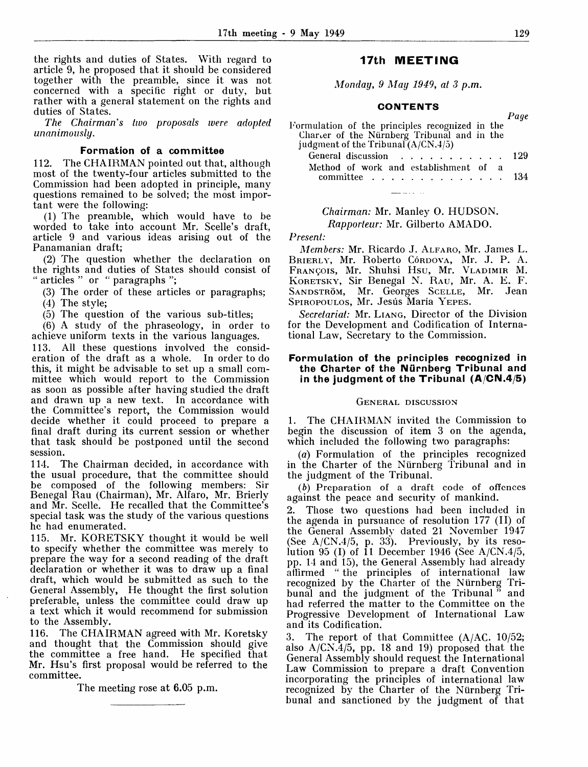the rights and duties of States. With regard to article 9, he proposed that it should be considered together with the preamble, since it was not concerned with a specific right or duty, but rather with a general statement on the rights and duties of States.

*The Chairman's two proposals were adopted unanimously.*

#### **Formation of a committee**

112. The CHAIRMAN pointed out that, although most of the twenty-four articles submitted to the Commission had been adopted in principle, many questions remained to be solved; the most important were the following:

(1) The preamble, which would have to be worded to take into account Mr. Scelle's draft, article 9 and various ideas arising out of the Panamanian draft;

(2) The question whether the declaration on the rights and duties of States should consist of " articles " or ': paragraphs ";

(3) The order of these articles or paragraphs; (4) The style;

(5) The question of the various sub-titles;

(6) A study of the phraseology, in order to achieve uniform texts in the various languages.

113. All these questions involved the consideration of the draft as a whole. In order to do this, it might be advisable to set up a small committee which would report to the Commission as soon as possible after having studied the draft and drawn up a new text. In accordance with the Committee's report, the Commission would decide whether it could proceed to prepare a final draft during its current session or whether that task should be postponed until the second session.

114. The Chairman decided, in accordance with the usual procedure, that the committee should be composed of the following members: Sir Benegal Rau (Chairman), Mr. Alfaro, Mr. Brierly and Mr. Scelle. He recalled that the Committee's special task was the study of the various questions he had enumerated.

115. Mr. KORETSKY thought it would be well to specify whether the committee was merely to prepare the way for a second reading of the draft declaration or whether it was to draw up a final draft, which would be submitted as such to the General Assembly, He thought the first solution preferable, unless the committee could draw up a text which it would recommend for submission to the Assembly.

116. The CHAIRMAN agreed with Mr. Koretsky and thought that the Commission should give the committee a free hand. He specified that Mr. Hsu's first proposal would be referred to the committee.

The meeting rose at 6.05 p.m.

# **17th MEETING**

*Monday, 9 May 1949, at 3 p.m.*

#### **CONTENTS**

| Formulation of the principles recognized in the<br>Charter of the Nürnberg Tribunal and in the<br>judgment of the Tribunal $(A/CN, 4/5)$ | r u ve |
|------------------------------------------------------------------------------------------------------------------------------------------|--------|
| General discussion 129                                                                                                                   |        |
| Method of work and establishment of a                                                                                                    |        |
| committee $\ldots$ , $\ldots$ , $\ldots$ , $\ldots$ , $134$                                                                              |        |

*Chairman:* Mr. Manley 0. HUDSON. *Rapporteur:* Mr. Gilberto AMADO.

<u>a a</u> an I

*Present:*

*Members:* Mr. Ricardo J. ALFARO, Mr. James L. BRIERLY, Mr. Roberto Córdova, Mr. J. P. A. FRANCOIS, Mr. Shuhsi Hsu, Mr. VLADIMIR M. KORETSKY, Sir Benegal N. RAU, Mr. A. E. F. SANDSTRÖM, Mr. Georges SCELLE, Mr. Jean SPIROPOULOS, Mr. Jesús María YEPES.

*Secretariat:* Mr. LIANG, Director of the Division for the Development and Codification of International Law, Secretary to the Commission.

### **Formulation of the principles recognized in the Charter of the Niirnberg Tribunal and in the judgment of the Tribunal (A/CN.4/5)**

#### GENERAL DISCUSSION

1. The CHAIRMAN invited the Commission to begin the discussion of item 3 on the agenda, which included the following two paragraphs:

(a) Formulation of the principles recognized in the Charter of the Nürnberg Tribunal and in the judgment of the Tribunal.

*(b)* Preparation of a draft code of offences against the peace and security of mankind.

2. Those two questions had been included in the agenda in pursuance of resolution 177 (II) of the General Assembly dated 21 November 1947 (See A/CN.4/5, p. 33). Previously, by its resolution  $95$  (I) of 11 December 1946 (See A/CN.4/5, pp. 14 and 15), the General Assembly had already affirmed " the principles of international law recognized by the Charter of the Niirnberg Tribunal and the judgment of the Tribunal" and had referred the matter to the Committee on the Progressive Development of International Law and its Codification.

3. The report of that Committee  $(A/AC. 10/52;$ also A/CN.4/5, pp. 18 and 19) proposed that the General Assembly should request the International Law Commission to prepare a draft Convention incorporating the principles of international law recognized by the Charter of the Niirnberg Tribunal and sanctioned by the judgment of that

*Page*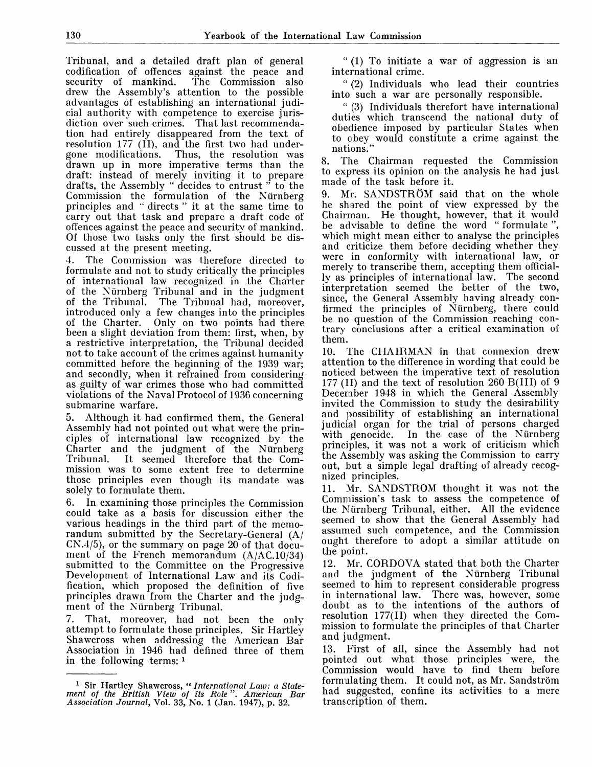Tribunal, and a detailed draft plan of general codification of offences against the peace and The Commission also drew the Assembly's attention to the possible advantages of establishing an international judicial authority with competence to exercise jurisdiction over such crimes. That last recommendation had entirely disappeared from the text of resolution  $177$  (II), and the first two had under-<br>gone modifications. Thus, the resolution was Thus, the resolution was drawn up in more imperative terms than the draft: instead of merely inviting it to prepare drafts, the Assembly " decides to entrust " to the Commission the formulation of the Niirnberg principles and " directs " it at the same time to carry out that task and prepare a draft code of offences against the peace and security of mankind. Of those two tasks only the first should be discussed at the present meeting.

4. The Commission was therefore directed to formulate and not to study critically the principles of international law recognized in the Charter of the Niirnberg Tribunal and in the judgment of the Tribunal. The Tribunal had, moreover, introduced only a few changes into the principles of the Charter. Only on two points had there been a slight deviation from them: first, when, by a restrictive interpretation, the Tribunal decided not to take account of the crimes against humanity committed before the beginning of the 1939 war; and secondly, when it refrained from considering and secondly, when it reframed from considering violations of the Naval Protocol of 1936 concerning submarine warfare.

5. Although it had confirmed them, the General Assembly had not pointed out what were the principles of international law recognized by the Charter and the judgment of the Nürnberg<br>Tribunal. It seemed therefore that the Com-It seemed therefore that the Commission was to some extent free to determine those principles even though its mandate was solely to formulate them.

6. In examining those principles the Commission could take as a basis for discussion either the various headings in the third part of the memorandum submitted by the Secretary-General (A/ CN.4/5), or the summary on page 20 of that document of the French memorandum (A/AC.10/34) submitted to the Committee on the Progressive Development of International Law and its Codification, which proposed the definition of five principles drawn from the Charter and the judgment of the Niirnberg Tribunal.

7. That, moreover, had not been the only attempt to formulate those principles. Sir Hartley Shawcross when addressing the American Bar Association in 1946 had defined three of them in the following terms:  $<sup>1</sup>$ </sup>

" (1) To initiate a war of aggression is an international crime.

" (2) Individuals who lead their countries into such a war are personally responsible.

" (3) Individuals therefort have international duties which transcend the national duty of obedience imposed by particular States when to obey would constitute a crime against the nations."

8. The Chairman requested the Commission to express its opinion on the analysis he had just made of the task before it.

9. Mr. SANDSTRÖM said that on the whole he shared the point of view expressed by the Chairman. He thought, however, that it would be advisable to define the word " formulate ", which might mean either to analyse the principles and criticize them before deciding whether they were in conformity with international law, or merely to transcribe them, accepting them officially as principles of international law. The second interpretation seemed the better of the two, since, the General Assembly having already confirmed the principles of Niirnberg, there could be no question of the Commission reaching contrary conclusions after a critical examination of them.

10. The CHAIRMAN in that connexion drew attention to the difference in wording that could be noticed between the imperative text of resolution 177 (II) and the text of resolution 260 B(III) of 9 December 1948 in which the General Assembly invited the Commission to study the desirability and possibility of establishing an international judicial organ for the trial of persons charged with genocide. In the case of the Nürnberg principles, it was not a work of criticism which the Assembly was asking the Commission to carry out, but a simple legal drafting of already recognized principles.

11. Mr. SANDSTROM thought it was not the Commission's task to assess the competence of the Niirnberg Tribunal, either. All the evidence seemed to show that the General Assembly had assumed such competence, and the Commission ought therefore to adopt a similar attitude on the point.

12. Mr. CORDOVA stated that both the Charter and the judgment of the Nürnberg Tribunal seemed to him to represent considerable progress in international law. There was, however, some doubt as to the intentions of the authors of resolution 177(11) when they directed the Commission to formulate the principles of that Charter and judgment.

13. First of all, since the Assembly had not pointed out what those principles were, the Commission would have to find them before formulating them. It could not, as Mr. Sandström had suggested, confine its activities to a mere transcription of them.

<sup>1</sup> Sir Hartley Shawcross, " *International Law: a Statement of the British View of its Role*". *American Bar Association Journal,* Vol. 33, No. 1 (Jan. 1947), p. 32.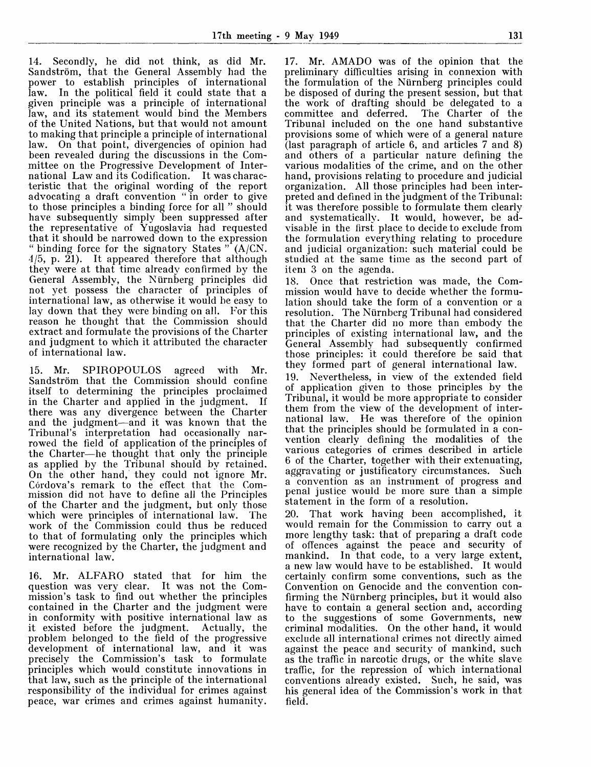14. Secondly, he did not think, as did Mr. Sandström, that the General Assembly had the power to establish principles of international law. In the political field it could state that a given principle was a principle of international law, and its statement would bind the Members of the United Nations, but that would not amount to making that principle a principle of international law. On that point, divergencies of opinion had been revealed during the discussions in the Committee on the Progressive Development of International Law and its Codification. It was characteristic that the original wording of the report advocating a draft convention " in order to give to those principles a binding force for all " should have subsequently simply been suppressed after the representative of Yugoslavia had requested that it should be narrowed down to the expression " binding force for the signatory States  $\overline{P}(A/CN)$ .  $4/5$ , p.  $21$ ). It appeared therefore that although they were at that time already confirmed by the General Assembly, the Niirnberg principles did not yet possess the character of principles of international law, as otherwise it would be easy to lay down that they were binding on all. For this reason he thought that the Commission should extract and formulate the provisions of the Charter and judgment to which it attributed the character of international law.

15. Mr. SPIROPOULOS agreed with Mr. Sandström that the Commission should confine itself to determining the principles proclaimed in the Charter and applied in the judgment. there was any divergence between the Charter and the judgment—and it was known that the Tribunal's interpretation had occasionally narrowed the field of application of the principles of the Charter—he thought that only the principle as applied by the Tribunal should by retained. On the other hand, they could not ignore Mr. Córdova's remark to the effect that the Commission did not have to define all the Principles of the Charter and the judgment, but only those which were principles of international law. The work of the Commission could thus be reduced to that of formulating only the principles which were recognized by the Charter, the judgment and international law.

16. Mr. ALFARO stated that for him the question was very clear. mission's task to find out whether the principles contained in the Charter and the judgment were in conformity with positive international law as it existed before the judgment. Actually, the problem belonged to the field of the progressive development of international law, and it was precisely the Commission's task to formulate principles which would constitute innovations in that law, such as the principle of the international responsibility of the individual for crimes against peace, war crimes and crimes against humanity.

17. Mr. AMADO was of the opinion that the preliminary difficulties arising in connexion with the formulation of the Niirnberg principles could be disposed of during the present session, but that the work of drafting should be delegated to a<br>committee and deferred. The Charter of the committee and deferred. Tribunal included on the one hand substantive provisions some of which were of a general nature (last paragraph of article 6, and articles 7 and 8) and others of a particular nature defining the various modalities of the crime, and on the other hand, provisions relating to procedure and judicial organization. All those principles had been interpreted and defined in the judgment of the Tribunal: it was therefore possible to formulate them clearly and systematically. It would, however, be advisable in the first place to decide to exclude from the formulation everything relating to procedure and judicial organization: such material could be studied at the same time as the second part of item 3 on the agenda.

18. Once that restriction was made, the Commission would have to decide whether the formulation should take the form of a convention or a resolution. The Niirnberg Tribunal had considered that the Charter did no more than embody the principles of existing international law, and the General Assembly had subsequently confirmed those principles: it could therefore be said that they formed part of general international law. 19. Nevertheless, in view of the extended field of application given to those principles by the Tribunal, it would be more appropriate to consider them from the view of the development of international law. He was therefore of the opinion that the principles should be formulated in a convention clearly defining the modalities of the

various categories of crimes described in article 6 of the Charter, together with their extenuating, aggravating or justificatory circumstances. Such a convention as an instrument of progress and penal justice would be more sure than a simple statement in the form of a resolution.

20. That work having been accomplished, it would remain for the Commission to carry out a more lengthy task: that of preparing a draft code of offences against the peace and security of mankind. In that code, to a very large extent, a new law would have to be established. It would certainly confirm some conventions, such as the Convention on Genocide and the convention confirming the Niirnberg principles, but it would also have to contain a general section and, according to the suggestions of some Governments, new criminal modalities. On the other hand, it would exclude all international crimes not directly aimed against the peace and security of mankind, such as the traffic in narcotic drugs, or the white slave traffic, for the repression of which international conventions already existed. Such, he said, was his general idea of the Commission's work in that field.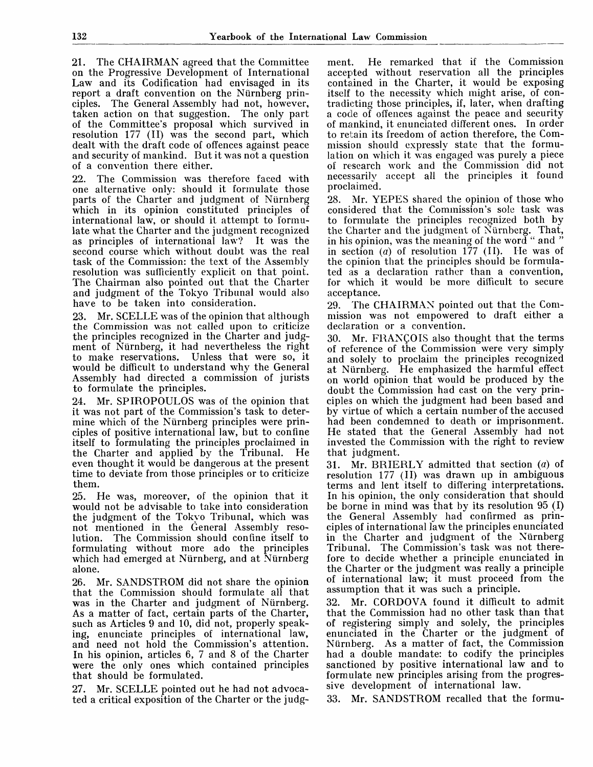21. The CHAIRMAN agreed that the Committee on the Progressive Development of International Law and its Codification had envisaged in its report a draft convention on the Nurnberg principles. The General Assembly had not, however, taken action on that suggestion. The only part of the Committee's proposal which survived in resolution 177 (II) was the second part, which dealt with the draft code of offences against peace and security of mankind. But it was not a question of a convention there either.

22. The Commission was therefore faced with one alternative only: should it formulate those parts of the Charter and judgment of Nurnberg which in its opinion constituted principles of international law, or should it attempt to formulate what the Charter and the judgment recognized<br>as principles of international law? It was the as principles of international law? second course which without doubt was the real task of the Commission: the text of the Assembly resolution was sufficiently explicit on that point. The Chairman also pointed out that the Charter and judgment of the Tokyo Tribunal would also have to be taken into consideration.

23. Mr. SCELLE was of the opinion that although the Commission was not called upon to criticize the principles recognized in the Charter and judgment of Nurnberg, it had nevertheless the right to make reservations. Unless that were so, it would be difficult to understand why the General Assembly had directed a commission of jurists to formulate the principles.

24. Mr. SPIROPOULOS was of the opinion that it was not part of the Commission's task to determine which of the Nurnberg principles were principles of positive international law, but to confine itself to formulating the principles proclaimed in the Charter and applied by the Tribunal. even thought it would be dangerous at the present time to deviate from those principles or to criticize them.

25. He was, moreover, of the opinion that it would not be advisable to take into consideration the judgment of the Tokyo Tribunal, which was not mentioned in the General Assembly resolution. The Commission should confine itself to formulating without more ado the principles which had emerged at Nürnberg, and at Nürnberg alone.

26. Mr. SANDSTROM did not share the opinion that the Commission should formulate all that was in the Charter and judgment of Nürnberg. As a matter of fact, certain parts of the Charter, such as Articles 9 and 10, did not, properly speaking, enunciate principles of international law, and need not hold the Commission's attention. In his opinion, articles 6, 7 and 8 of the Charter were the only ones which contained principles that should be formulated.

27. Mr. SCELLE pointed out he had not advocated a critical exposition of the Charter or the judg-

ment. He remarked that if the Commission accepted without reservation all the principles contained in the Charter, it would be exposing itself to the necessity which might arise, of contradicting those principles, if, later, when drafting a code of offences against the peace and security of mankind, it enunciated different ones. In order to retain its freedom of action therefore, the Commission should expressly state that the formulation on which it was engaged was purely a piece of research work and the Commission did not necessarily accept all the principles it found proclaimed.

28. Mr. YEPES shared the opinion of those who considered that the Commission's sole task was to formulate the principles recognized both by the Charter and the judgment of Nurnberg. That, in his opinion, was the meaning of the word " and " in section *(a)* of resolution 177 (II). He was of the opinion that the principles should be formulated as a declaration rather than a convention, for which it would be more difficult to secure acceptance.

29. The CHAIRMAN pointed out that the Commission was not empowered to draft either a declaration or a convention.

30. Mr. FRANCOIS also thought that the terms of reference of the Commission were very simply and solely to proclaim the principles recognized at Nurnberg. He emphasized the harmful effect on world opinion that would be produced by the doubt the Commission had cast on the very principles on which the judgment had been based and by virtue of which a certain number of the accused had been condemned to death or imprisonment. He stated that the General Assembly had not invested the Commission with the right to review that judgment.

31. Mr. BRIERLY admitted that section  $(a)$  of resolution 177 (II) was drawn up in ambiguous terms and lent itself to differing interpretations. In his opinion, the only consideration that should be borne in mind was that by its resolution 95 (I) the General Assembly had confirmed as principles of international law the principles enunciated in the Charter and judgment of the Nurnberg Tribunal. The Commission's task was not therefore to decide whether a principle enunciated in the Charter or the judgment was really a principle of international law; it must proceed from the assumption that it was such a principle.

32. Mr. CORDOVA found it difficult to admit that the Commission had no other task than that of registering simply and solely, the principles enunciated in the Charter or the judgment of Nurnberg. As a matter of fact, the Commission had a double mandate: to codify the principles sanctioned by positive international law and to formulate new principles arising from the progressive development of international law.

33. Mr. SANDSTROM recalled that the formu-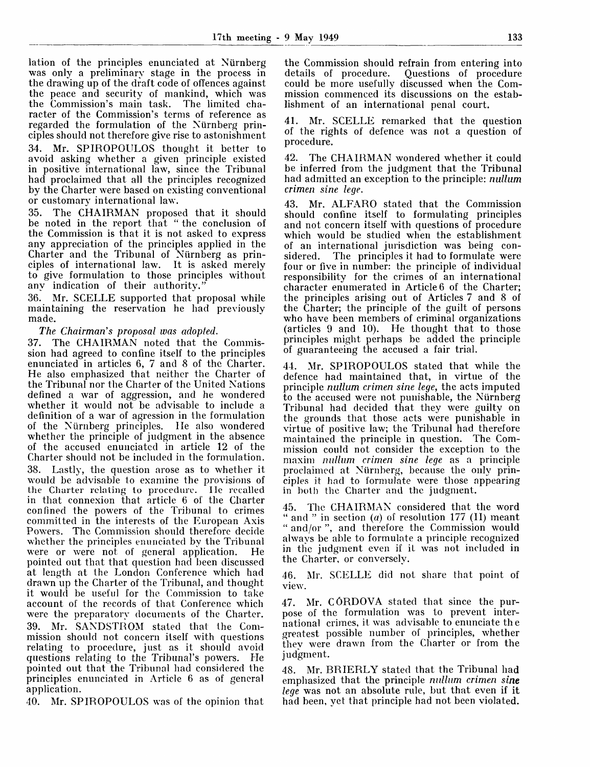lation of the principles enunciated at Nürnberg was only a preliminary stage in the process in the drawing up of the draft code of offences against the peace and security of mankind, which was the Commission's main task. The limited chathe Commission's main task. racter of the Commission's terms of reference as regarded the formulation of the Niirnberg principles should not therefore give rise to astonishment

34. Mr. SPIROPOULOS thought it better to avoid asking whether a given principle existed in positive international law, since the Tribunal had proclaimed that all the principles recognized by the Charter were based on existing conventional or customary international law.

35. The CHAIRMAN proposed that it should be noted in the report that " the conclusion of the Commission is that it is not asked to express any appreciation of the principles applied in the Charter and the Tribunal of Niirnberg as principles of international law. It is asked merely to give formulation to those principles without any indication of their authority."

36. Mr. SCELLE supported that proposal while maintaining the reservation he had previously made.

*The Chairman's proposal was adopted.*

37. The CHAIRMAN noted that the Commission had agreed to confine itself to the principles enunciated in articles 6, 7 and 8 of the Charter. He also emphasized that neither the Charter of the Tribunal nor the Charter of the United Nations defined a war of aggression, and he wondered whether it would not be advisable to include a definition of a war of agression in the formulation of the Niirnberg principles. He also wondered whether the principle of judgment in the absence of the accused enunciated in article 12 of the Charter should not be included in the formulation. 38. Lastly, the question arose as to whether it would be advisable to examine the provisions of<br>the Charter relating to procedure. He recalled the Charter relating to procedure. in that connexion that article 6 of the Charter confined the powers of the Tribunal to crimes committed in the interests of the European Axis Powers. The Commission should therefore decide whether the principles enunciated by the Tribunal were or were not of general application. He pointed out that that question had been discussed at length at the London Conference which had drawn up the Charter of the Tribunal, and thought it would be useful for the Commission to take account of the records of that Conference which were the preparatory documents of the Charter. 39. Mr. SANDSTROM stated that the Commission should not concern itself with questions relating to procedure, just as it should avoid questions relating to the Tribunal's powers. He pointed out that the Tribunal had considered the principles enunciated in Article 6 as of general application.

40. Mr. SPIROPOULOS was of the opinion that

the Commission should refrain from entering into details of procedure. Questions of procedure could be more usefully discussed when the Commission commenced its discussions on the establishment of an international penal court.

Mr. SCELLE remarked that the question of the rights of defence was not a question of procedure.

42. The CHAIRMAN wondered whether it could be inferred from the judgment that the Tribunal had admitted an exception to the principle: *nullum crimen sine lege.*

43. Mr. ALFARO stated that the Commission should confine itself to formulating principles and not concern itself with questions of procedure which would be studied when the establishment of an international jurisdiction was being con-The principles it had to formulate were four or five in number: the principle of individual responsibility for the crimes of an international character enumerated in Article 6 of the Charter; the principles arising out of Articles 7 and 8 of the Charter; the principle of the guilt of persons who have been members of criminal organizations (articles 9 and 10). He thought that to those principles might perhaps be added the principle of guaranteeing the accused a fair trial.

44. Mr. SPIROPOULOS stated that while the defence had maintained that, in virtue of the principle *nullum crimen sine lege,* the acts imputed to the accused were not punishable, the Niirnberg Tribunal had decided that they were guilty on the grounds that those acts were punishable in virtue of positive law; the Tribunal had therefore maintained the principle in question. The Commission could not consider the exception to the maxim *nullum crimen sine lege* as a principle proclaimed at Niirnberg, because the only principles it had to formulate were those appearing in both the Charter and the judgment.

45. The CHAIRMAN considered that the word " and " in section  $(a)$  of resolution 177 (II) meant " and/or ", and therefore the Commission would always be able to formulate a principle recognized in the judgment even if it was not included in the Charter, or conversely.

46. Mr. SCELLE did not share that point of view.

47. Mr. CORDOVA stated that since the purpose of the formulation was to prevent international crimes, it was advisable to enunciate the greatest possible number of principles, whether they were drawn from the Charter or from the judgment.

48. Mr. BRIERLY stated that the Tribunal had emphasized that the principle *nullum crimen sine lege* was not an absolute rule, but that even if it had been, yet that principle had not been violated.